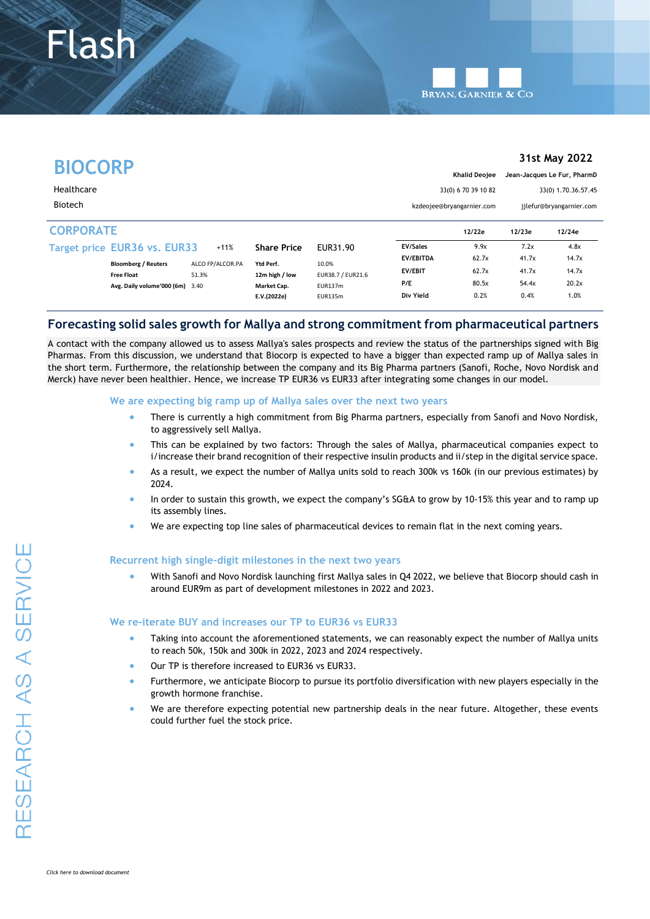Flash

|                  |                                 |                  |                    |                   |                                                     |                           |                          | 31st May 2022       |
|------------------|---------------------------------|------------------|--------------------|-------------------|-----------------------------------------------------|---------------------------|--------------------------|---------------------|
| <b>BIOCORP</b>   |                                 |                  |                    |                   | Jean-Jacques Le Fur, PharmD<br><b>Khalid Deoiee</b> |                           |                          |                     |
| Healthcare       |                                 |                  |                    |                   |                                                     | 33(0) 670 39 10 82        |                          | 33(0) 1.70.36.57.45 |
| <b>Biotech</b>   |                                 |                  |                    |                   |                                                     | kzdeojee@bryangarnier.com | jilefur@bryangarnier.com |                     |
| <b>CORPORATE</b> |                                 |                  |                    |                   |                                                     | 12/22e                    | 12/23e                   | 12/24e              |
|                  | Target price EUR36 vs. EUR33    | $+11%$           | <b>Share Price</b> | EUR31.90          | <b>EV/Sales</b>                                     | 9.9x                      | 7.2x                     | 4.8x                |
|                  | <b>Bloomberg / Reuters</b>      | ALCO FP/ALCOR.PA | Ytd Perf.          | 10.0%             | <b>EV/EBITDA</b>                                    | 62.7x                     | 41.7x                    | 14.7x               |
|                  | <b>Free Float</b>               | 51.3%            | 12m high / low     | EUR38.7 / EUR21.6 | <b>EV/EBIT</b>                                      | 62.7x                     | 41.7x                    | 14.7x               |
|                  | Avg. Daily volume'000 (6m) 3.40 |                  | Market Cap.        | EUR137m           | P/E                                                 | 80.5x                     | 54.4x                    | 20.2x               |
|                  |                                 |                  | E.V.(2022e)        | <b>EUR135m</b>    | Div Yield                                           | 0.2%                      | 0.4%                     | 1.0%                |

# **Forecasting solid sales growth for Mallya and strong commitment from pharmaceutical partners**

A contact with the company allowed us to assess Mallya's sales prospects and review the status of the partnerships signed with Big Pharmas. From this discussion, we understand that Biocorp is expected to have a bigger than expected ramp up of Mallya sales in the short term. Furthermore, the relationship between the company and its Big Pharma partners (Sanofi, Roche, Novo Nordisk and Merck) have never been healthier. Hence, we increase TP EUR36 vs EUR33 after integrating some changes in our model.

#### **We are expecting big ramp up of Mallya sales over the next two years**

- There is currently a high commitment from Big Pharma partners, especially from Sanofi and Novo Nordisk, to aggressively sell Mallya.
- This can be explained by two factors: Through the sales of Mallya, pharmaceutical companies expect to i/increase their brand recognition of their respective insulin products and ii/step in the digital service space.
- As a result, we expect the number of Mallya units sold to reach 300k vs 160k (in our previous estimates) by 2024.
- In order to sustain this growth, we expect the company's SG&A to grow by 10-15% this year and to ramp up its assembly lines.
- We are expecting top line sales of pharmaceutical devices to remain flat in the next coming years.

### **Recurrent high single-digit milestones in the next two years**

• With Sanofi and Novo Nordisk launching first Mallya sales in Q4 2022, we believe that Biocorp should cash in around EUR9m as part of development milestones in 2022 and 2023.

### **We re-iterate BUY and increases our TP to EUR36 vs EUR33**

- Taking into account the aforementioned statements, we can reasonably expect the number of Mallya units to reach 50k, 150k and 300k in 2022, 2023 and 2024 respectively.
- Our TP is therefore increased to EUR36 vs EUR33.
- Furthermore, we anticipate Biocorp to pursue its portfolio diversification with new players especially in the growth hormone franchise.
- We are therefore expecting potential new partnership deals in the near future. Altogether, these events could further fuel the stock price.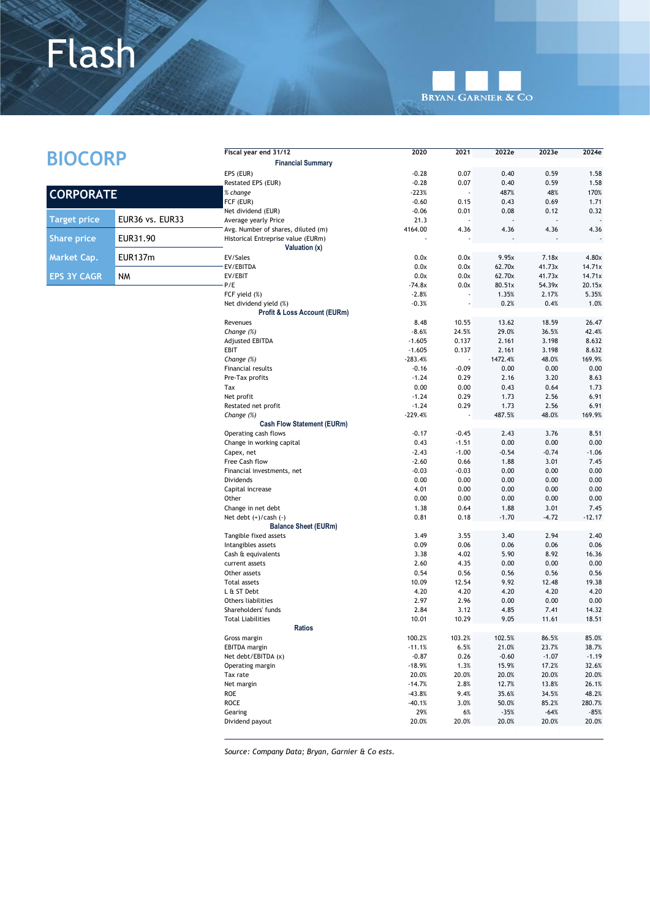# Flash



|                     |                 | Fiscal year end 31/12                   | 2020            | 2021            | 2022e           | 2023e           | 2024e           |
|---------------------|-----------------|-----------------------------------------|-----------------|-----------------|-----------------|-----------------|-----------------|
| <b>BIOCORP</b>      |                 | <b>Financial Summary</b>                |                 |                 |                 |                 |                 |
|                     |                 | EPS (EUR)                               | $-0.28$         | 0.07            | 0.40            | 0.59            | 1.58            |
|                     |                 | Restated EPS (EUR)                      | $-0.28$         | 0.07            | 0.40            | 0.59            | 1.58            |
|                     |                 | % change                                | $-223%$         |                 | 487%            | 48%             | 170%            |
| <b>CORPORATE</b>    |                 | FCF (EUR)                               | $-0.60$         | 0.15            | 0.43            | 0.69            | 1.71            |
|                     |                 | Net dividend (EUR)                      | $-0.06$         | 0.01            | 0.08            | 0.12            | 0.32            |
| <b>Target price</b> | EUR36 vs. EUR33 | Average yearly Price                    | 21.3            |                 |                 |                 |                 |
|                     |                 | Avg. Number of shares, diluted (m)      | 4164.00         | 4.36            | 4.36            | 4.36            | 4.36            |
| <b>Share price</b>  | EUR31.90        | Historical Entreprise value (EURm)      |                 |                 |                 |                 |                 |
|                     |                 | Valuation (x)                           |                 |                 |                 |                 |                 |
| Market Cap.         | <b>EUR137m</b>  | EV/Sales<br>EV/EBITDA                   | 0.0x<br>0.0x    | 0.0x<br>0.0x    | 9.95x<br>62.70x | 7.18x<br>41.73x | 4.80x<br>14.71x |
| <b>EPS 3Y CAGR</b>  | NM              | EV/EBIT                                 | 0.0x            | 0.0x            | 62.70x          | 41.73x          | 14.71x          |
|                     |                 | P/E                                     | $-74.8x$        | 0.0x            | 80.51x          | 54.39x          | 20.15x          |
|                     |                 | FCF yield (%)                           | $-2.8%$         |                 | 1.35%           | 2.17%           | 5.35%           |
|                     |                 | Net dividend yield (%)                  | $-0.3%$         |                 | 0.2%            | 0.4%            | 1.0%            |
|                     |                 | Profit & Loss Account (EURm)            |                 |                 |                 |                 |                 |
|                     |                 | Revenues                                | 8.48            | 10.55           | 13.62           | 18.59           | 26.47           |
|                     |                 | Change (%)                              | $-8.6%$         | 24.5%           | 29.0%           | 36.5%           | 42.4%           |
|                     |                 | <b>Adjusted EBITDA</b>                  | $-1.605$        | 0.137           | 2.161           | 3.198           | 8.632           |
|                     |                 | EBIT                                    | $-1.605$        | 0.137           | 2.161           | 3.198           | 8.632           |
|                     |                 | Change (%)                              | $-283.4%$       |                 | 1472.4%         | 48.0%           | 169.9%          |
|                     |                 | Financial results                       | $-0.16$         | $-0.09$         | 0.00            | 0.00            | 0.00            |
|                     |                 | Pre-Tax profits                         | $-1.24$         | 0.29            | 2.16            | 3.20            | 8.63            |
|                     |                 | Tax                                     | 0.00            | 0.00            | 0.43            | 0.64            | 1.73            |
|                     |                 | Net profit                              | $-1.24$         | 0.29            | 1.73            | 2.56            | 6.91            |
|                     |                 | Restated net profit                     | $-1.24$         | 0.29            | 1.73            | 2.56            | 6.91            |
|                     |                 | Change $(\%)$                           | $-229.4%$       |                 | 487.5%          | 48.0%           | 169.9%          |
|                     |                 | <b>Cash Flow Statement (EURm)</b>       |                 |                 |                 |                 |                 |
|                     |                 | Operating cash flows                    | $-0.17$         | $-0.45$         | 2.43            | 3.76            | 8.51            |
|                     |                 | Change in working capital               | 0.43<br>$-2.43$ | $-1.51$         | 0.00            | 0.00            | 0.00            |
|                     |                 | Capex, net                              |                 | $-1.00$         | $-0.54$         | $-0.74$         | $-1.06$         |
|                     |                 | Free Cash flow                          | $-2.60$         | 0.66            | 1.88            | 3.01<br>0.00    | 7.45            |
|                     |                 | Financial investments, net<br>Dividends | $-0.03$<br>0.00 | $-0.03$<br>0.00 | 0.00<br>0.00    | 0.00            | 0.00<br>0.00    |
|                     |                 | Capital increase                        | 4.01            | 0.00            | 0.00            | 0.00            | 0.00            |
|                     |                 | Other                                   | 0.00            | 0.00            | 0.00            | 0.00            | 0.00            |
|                     |                 | Change in net debt                      | 1.38            | 0.64            | 1.88            | 3.01            | 7.45            |
|                     |                 | Net debt $(+)/cash (-)$                 | 0.81            | 0.18            | $-1.70$         | $-4.72$         | $-12.17$        |
|                     |                 | <b>Balance Sheet (EURm)</b>             |                 |                 |                 |                 |                 |
|                     |                 | Tangible fixed assets                   | 3.49            | 3.55            | 3.40            | 2.94            | 2.40            |
|                     |                 | Intangibles assets                      | 0.09            | 0.06            | 0.06            | 0.06            | 0.06            |
|                     |                 | Cash & equivalents                      | 3.38            | 4.02            | 5.90            | 8.92            | 16.36           |
|                     |                 | current assets                          | 2.60            | 4.35            | 0.00            | 0.00            | 0.00            |
|                     |                 | Other assets                            | 0.54            | 0.56            | 0.56            | 0.56            | 0.56            |
|                     |                 | <b>Total assets</b>                     | 10.09           | 12.54           | 9.92            | 12.48           | 19.38           |
|                     |                 | L & ST Debt                             | 4.20            | 4.20            | 4.20            | 4.20            | 4.20            |
|                     |                 | Others liabilities                      | 2.97            | 2.96            | 0.00            | 0.00            | 0.00            |
|                     |                 | Shareholders' funds                     | 2.84            | 3.12            | 4.85            | 7.41            | 14.32           |
|                     |                 | <b>Total Liabilities</b>                | 10.01           | 10.29           | 9.05            | 11.61           | 18.51           |
|                     |                 | <b>Ratios</b>                           |                 |                 |                 |                 |                 |
|                     |                 | Gross margin                            | 100.2%          | 103.2%          | 102.5%          | 86.5%           | 85.0%           |
|                     |                 | <b>EBITDA</b> margin                    | $-11.1%$        | 6.5%            | 21.0%           | 23.7%           | 38.7%           |
|                     |                 | Net debt/EBITDA (x)                     | $-0.87$         | 0.26            | $-0.60$         | $-1.07$         | $-1.19$         |
|                     |                 | Operating margin                        | $-18.9%$        | 1.3%            | 15.9%           | 17.2%           | 32.6%           |
|                     |                 | Tax rate                                | 20.0%           | 20.0%           | 20.0%           | 20.0%           | 20.0%           |
|                     |                 | Net margin                              | $-14.7%$        | 2.8%            | 12.7%           | 13.8%           | 26.1%           |
|                     |                 | <b>ROE</b>                              | $-43.8%$        | 9.4%            | 35.6%           | 34.5%           | 48.2%           |
|                     |                 | ROCE<br>Gearing                         | $-40.1%$<br>29% | 3.0%            | 50.0%<br>$-35%$ | 85.2%<br>$-64%$ | 280.7%          |
|                     |                 | Dividend payout                         | 20.0%           | 6%<br>20.0%     | 20.0%           | 20.0%           | $-85%$<br>20.0% |
|                     |                 |                                         |                 |                 |                 |                 |                 |

*Source: Company Data; Bryan, Garnier & Co ests.*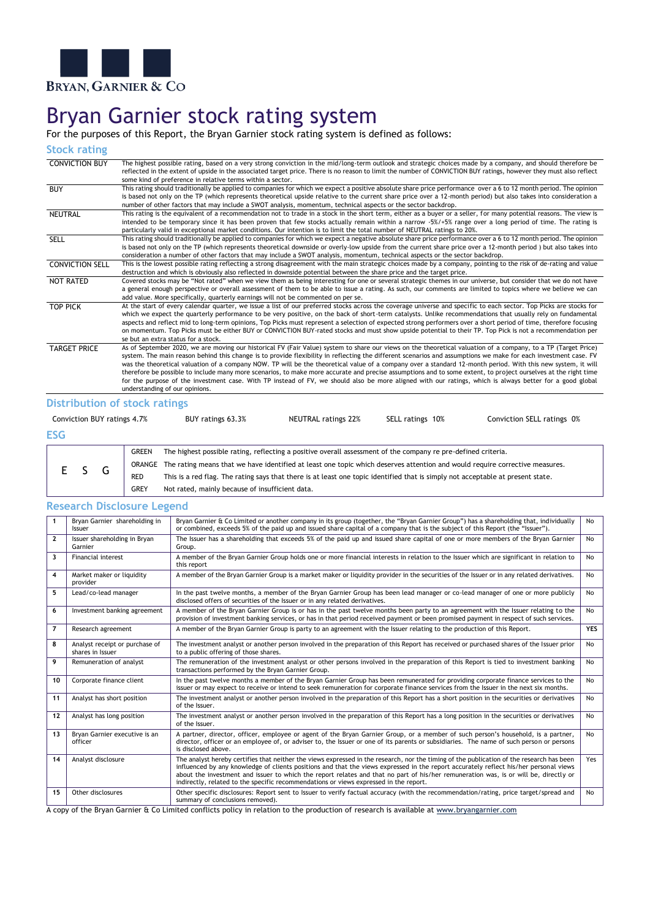

# Bryan Garnier stock rating system

For the purposes of this Report, the Bryan Garnier stock rating system is defined as follows:

**Stock rating**

| <b>CONVICTION BUY</b>  | The highest possible rating, based on a very strong conviction in the mid/long-term outlook and strategic choices made by a company, and should therefore be<br>reflected in the extent of upside in the associated target price. There is no reason to limit the number of CONVICTION BUY ratings, however they must also reflect<br>some kind of preference in relative terms within a sector.                                                                                                                                                                                                                                                                                                                                                                                                                                                                  |
|------------------------|-------------------------------------------------------------------------------------------------------------------------------------------------------------------------------------------------------------------------------------------------------------------------------------------------------------------------------------------------------------------------------------------------------------------------------------------------------------------------------------------------------------------------------------------------------------------------------------------------------------------------------------------------------------------------------------------------------------------------------------------------------------------------------------------------------------------------------------------------------------------|
| <b>BUY</b>             | This rating should traditionally be applied to companies for which we expect a positive absolute share price performance over a 6 to 12 month period. The opinion<br>is based not only on the TP (which represents theoretical upside relative to the current share price over a 12-month period) but also takes into consideration a<br>number of other factors that may include a SWOT analysis, momentum, technical aspects or the sector backdrop.                                                                                                                                                                                                                                                                                                                                                                                                            |
| <b>NEUTRAL</b>         | This rating is the equivalent of a recommendation not to trade in a stock in the short term, either as a buyer or a seller, for many potential reasons. The view is<br>intended to be temporary since it has been proven that few stocks actually remain within a narrow -5%/+5% range over a long period of time. The rating is<br>particularly valid in exceptional market conditions. Our intention is to limit the total number of NEUTRAL ratings to 20%.                                                                                                                                                                                                                                                                                                                                                                                                    |
| <b>SELL</b>            | This rating should traditionally be applied to companies for which we expect a negative absolute share price performance over a 6 to 12 month period. The opinion<br>is based not only on the TP (which represents theoretical downside or overly-low upside from the current share price over a 12-month period) but also takes into<br>consideration a number of other factors that may include a SWOT analysis, momentum, technical aspects or the sector backdrop.                                                                                                                                                                                                                                                                                                                                                                                            |
| <b>CONVICTION SELL</b> | This is the lowest possible rating reflecting a strong disagreement with the main strategic choices made by a company, pointing to the risk of de-rating and value<br>destruction and which is obviously also reflected in downside potential between the share price and the target price.                                                                                                                                                                                                                                                                                                                                                                                                                                                                                                                                                                       |
| <b>NOT RATED</b>       | Covered stocks may be "Not rated" when we view them as being interesting for one or several strategic themes in our universe, but consider that we do not have<br>a general enough perspective or overall assessment of them to be able to issue a rating. As such, our comments are limited to topics where we believe we can<br>add value. More specifically, quarterly earnings will not be commented on per se.                                                                                                                                                                                                                                                                                                                                                                                                                                               |
| <b>TOP PICK</b>        | At the start of every calendar quarter, we issue a list of our preferred stocks across the coverage universe and specific to each sector. Top Picks are stocks for<br>which we expect the quarterly performance to be very positive, on the back of short-term catalysts. Unlike recommendations that usually rely on fundamental<br>aspects and reflect mid to long-term opinions, Top Picks must represent a selection of expected strong performers over a short period of time, therefore focusing<br>on momentum. Top Picks must be either BUY or CONVICTION BUY-rated stocks and must show upside potential to their TP. Top Pick is not a recommendation per<br>se but an extra status for a stock.                                                                                                                                                        |
| <b>TARGET PRICE</b>    | As of September 2020, we are moving our historical FV (Fair Value) system to share our views on the theoretical valuation of a company, to a TP (Target Price)<br>system. The main reason behind this change is to provide flexibility in reflecting the different scenarios and assumptions we make for each investment case. FV<br>was the theoretical valuation of a company NOW. TP will be the theoretical value of a company over a standard 12-month period. With this new system, it will<br>therefore be possible to include many more scenarios, to make more accurate and precise assumptions and to some extent, to project ourselves at the right time<br>for the purpose of the investment case. With TP instead of FV, we should also be more aligned with our ratings, which is always better for a good global<br>understanding of our opinions. |

# **Distribution of stock ratings**

| Conviction BUY ratings 4.7% |  |  |   |                                                                                                                                    | BUY ratings 63.3%                                                                                                               | <b>NEUTRAL ratings 22%</b> | SELL ratings 10% | Conviction SELL ratings 0% |
|-----------------------------|--|--|---|------------------------------------------------------------------------------------------------------------------------------------|---------------------------------------------------------------------------------------------------------------------------------|----------------------------|------------------|----------------------------|
| <b>ESG</b>                  |  |  |   |                                                                                                                                    |                                                                                                                                 |                            |                  |                            |
|                             |  |  |   | GREEN                                                                                                                              | The highest possible rating, reflecting a positive overall assessment of the company re pre-defined criteria.                   |                            |                  |                            |
| E S                         |  |  |   | ORANGE The rating means that we have identified at least one topic which deserves attention and would require corrective measures. |                                                                                                                                 |                            |                  |                            |
|                             |  |  | G | <b>RED</b>                                                                                                                         | This is a red flag. The rating says that there is at least one topic identified that is simply not acceptable at present state. |                            |                  |                            |
|                             |  |  |   | <b>GREY</b>                                                                                                                        | Not rated, mainly because of insufficient data.                                                                                 |                            |                  |                            |

# **Research Disclosure Legend**

| $\mathbf{1}$            | Bryan Garnier shareholding in<br>Issuer            | Bryan Garnier & Co Limited or another company in its group (together, the "Bryan Garnier Group") has a shareholding that, individually<br>or combined, exceeds 5% of the paid up and issued share capital of a company that is the subject of this Report (the "Issuer").                                                                                                                                                                                                                                           | No         |
|-------------------------|----------------------------------------------------|---------------------------------------------------------------------------------------------------------------------------------------------------------------------------------------------------------------------------------------------------------------------------------------------------------------------------------------------------------------------------------------------------------------------------------------------------------------------------------------------------------------------|------------|
| $\overline{2}$          | Issuer shareholding in Bryan<br>Garnier            | The Issuer has a shareholding that exceeds 5% of the paid up and issued share capital of one or more members of the Bryan Garnier<br>Group.                                                                                                                                                                                                                                                                                                                                                                         | No         |
| $\overline{\mathbf{3}}$ | Financial interest                                 | A member of the Bryan Garnier Group holds one or more financial interests in relation to the Issuer which are significant in relation to<br>this report                                                                                                                                                                                                                                                                                                                                                             | <b>No</b>  |
| 4                       | Market maker or liquidity<br>provider              | A member of the Bryan Garnier Group is a market maker or liquidity provider in the securities of the Issuer or in any related derivatives.                                                                                                                                                                                                                                                                                                                                                                          | <b>No</b>  |
| 5                       | Lead/co-lead manager                               | In the past twelve months, a member of the Bryan Garnier Group has been lead manager or co-lead manager of one or more publicly<br>disclosed offers of securities of the Issuer or in any related derivatives.                                                                                                                                                                                                                                                                                                      | No         |
| 6                       | Investment banking agreement                       | A member of the Bryan Garnier Group is or has in the past twelve months been party to an agreement with the Issuer relating to the<br>provision of investment banking services, or has in that period received payment or been promised payment in respect of such services.                                                                                                                                                                                                                                        | No         |
| $\overline{7}$          | Research agreement                                 | A member of the Bryan Garnier Group is party to an agreement with the Issuer relating to the production of this Report.                                                                                                                                                                                                                                                                                                                                                                                             | <b>YES</b> |
| 8                       | Analyst receipt or purchase of<br>shares in Issuer | The investment analyst or another person involved in the preparation of this Report has received or purchased shares of the Issuer prior<br>to a public offering of those shares.                                                                                                                                                                                                                                                                                                                                   | No         |
| 9                       | Remuneration of analyst                            | The remuneration of the investment analyst or other persons involved in the preparation of this Report is tied to investment banking<br>transactions performed by the Bryan Garnier Group.                                                                                                                                                                                                                                                                                                                          | <b>No</b>  |
| 10                      | Corporate finance client                           | In the past twelve months a member of the Bryan Garnier Group has been remunerated for providing corporate finance services to the<br>issuer or may expect to receive or intend to seek remuneration for corporate finance services from the Issuer in the next six months.                                                                                                                                                                                                                                         | No         |
| 11                      | Analyst has short position                         | The investment analyst or another person involved in the preparation of this Report has a short position in the securities or derivatives<br>of the Issuer.                                                                                                                                                                                                                                                                                                                                                         | <b>No</b>  |
| 12                      | Analyst has long position                          | The investment analyst or another person involved in the preparation of this Report has a long position in the securities or derivatives<br>of the Issuer.                                                                                                                                                                                                                                                                                                                                                          | <b>No</b>  |
| 13                      | Bryan Garnier executive is an<br>officer           | A partner, director, officer, employee or agent of the Bryan Garnier Group, or a member of such person's household, is a partner,<br>director, officer or an employee of, or adviser to, the Issuer or one of its parents or subsidiaries. The name of such person or persons<br>is disclosed above.                                                                                                                                                                                                                | No         |
| 14                      | Analyst disclosure                                 | The analyst hereby certifies that neither the views expressed in the research, nor the timing of the publication of the research has been<br>influenced by any knowledge of clients positions and that the views expressed in the report accurately reflect his/her personal views<br>about the investment and issuer to which the report relates and that no part of his/her remuneration was, is or will be, directly or<br>indirectly, related to the specific recommendations or views expressed in the report. | Yes        |
| 15                      | Other disclosures                                  | Other specific disclosures: Report sent to Issuer to verify factual accuracy (with the recommendation/rating, price target/spread and<br>summary of conclusions removed).                                                                                                                                                                                                                                                                                                                                           | <b>No</b>  |

A copy of the Bryan Garnier & Co Limited conflicts policy in relation to the production of research is available a[t www.bryangarnier.com](http://www.bryangarnier.com/)